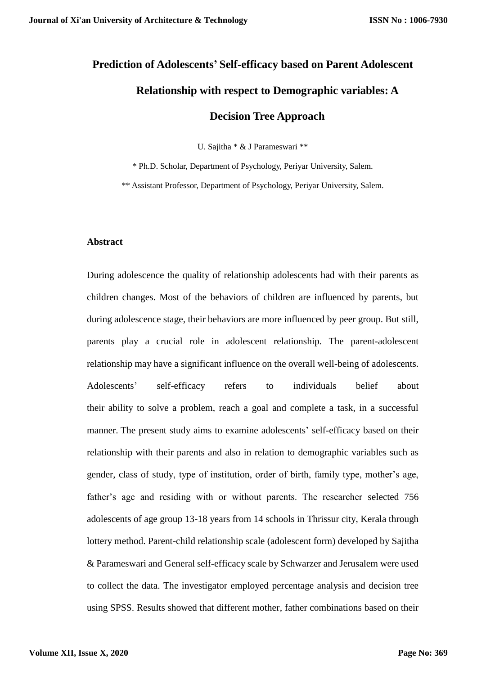# **Prediction of Adolescents' Self-efficacy based on Parent Adolescent Relationship with respect to Demographic variables: A Decision Tree Approach**

U. Sajitha \* & J Parameswari \*\*

\* Ph.D. Scholar, Department of Psychology, Periyar University, Salem.

\*\* Assistant Professor, Department of Psychology, Periyar University, Salem.

# **Abstract**

During adolescence the quality of relationship adolescents had with their parents as children changes. Most of the behaviors of children are influenced by parents, but during adolescence stage, their behaviors are more influenced by peer group. But still, parents play a crucial role in adolescent relationship. The parent-adolescent relationship may have a significant influence on the overall well-being of adolescents. Adolescents' self-efficacy refers to individuals belief about their ability to solve a problem, reach a goal and complete a task, in a successful manner. The present study aims to examine adolescents' self-efficacy based on their relationship with their parents and also in relation to demographic variables such as gender, class of study, type of institution, order of birth, family type, mother's age, father's age and residing with or without parents. The researcher selected 756 adolescents of age group 13-18 years from 14 schools in Thrissur city, Kerala through lottery method. Parent-child relationship scale (adolescent form) developed by Sajitha & Parameswari and General self-efficacy scale by Schwarzer and Jerusalem were used to collect the data. The investigator employed percentage analysis and decision tree using SPSS. Results showed that different mother, father combinations based on their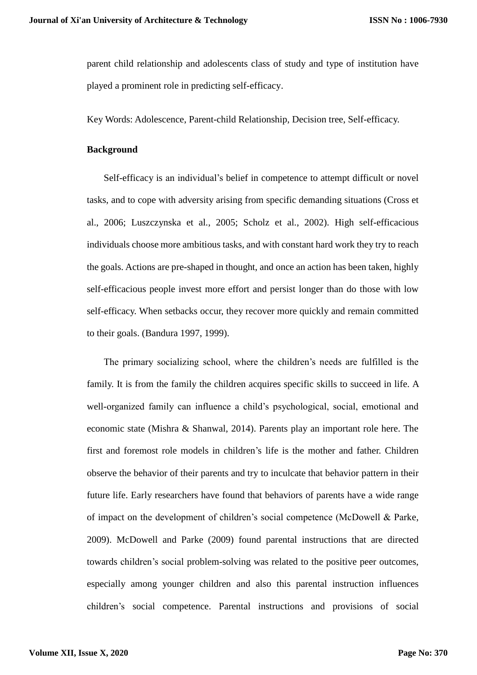parent child relationship and adolescents class of study and type of institution have played a prominent role in predicting self-efficacy.

Key Words: Adolescence, Parent-child Relationship, Decision tree, Self-efficacy.

# **Background**

Self-efficacy is an individual's belief in competence to attempt difficult or novel tasks, and to cope with adversity arising from specific demanding situations (Cross et al., 2006; Luszczynska et al., 2005; Scholz et al., 2002). High self-efficacious individuals choose more ambitious tasks, and with constant hard work they try to reach the goals. Actions are pre-shaped in thought, and once an action has been taken, highly self-efficacious people invest more effort and persist longer than do those with low self-efficacy. When setbacks occur, they recover more quickly and remain committed to their goals. (Bandura 1997, 1999).

The primary socializing school, where the children's needs are fulfilled is the family. It is from the family the children acquires specific skills to succeed in life. A well-organized family can influence a child's psychological, social, emotional and economic state (Mishra & Shanwal, 2014). Parents play an important role here. The first and foremost role models in children's life is the mother and father. Children observe the behavior of their parents and try to inculcate that behavior pattern in their future life. Early researchers have found that behaviors of parents have a wide range of impact on the development of children's social competence (McDowell & Parke, 2009). McDowell and Parke (2009) found parental instructions that are directed towards children's social problem-solving was related to the positive peer outcomes, especially among younger children and also this parental instruction influences children's social competence. Parental instructions and provisions of social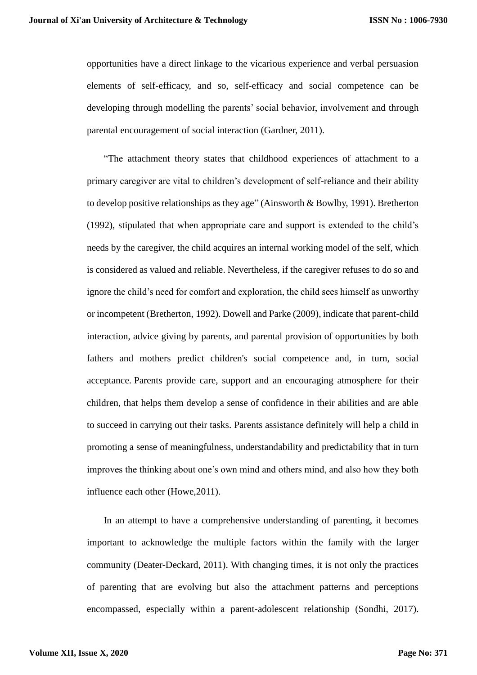opportunities have a direct linkage to the vicarious experience and verbal persuasion elements of self-efficacy, and so, self-efficacy and social competence can be developing through modelling the parents' social behavior, involvement and through parental encouragement of social interaction (Gardner, 2011).

"The attachment theory states that childhood experiences of attachment to a primary caregiver are vital to children's development of self-reliance and their ability to develop positive relationships as they age" (Ainsworth & Bowlby, [1991\)](https://www.tandfonline.com/doi/full/10.1080/02673843.2017.1330698). Bretherton [\(1992\)](https://www.tandfonline.com/doi/full/10.1080/02673843.2017.1330698), stipulated that when appropriate care and support is extended to the child's needs by the caregiver, the child acquires an internal working model of the self, which is considered as valued and reliable. Nevertheless, if the caregiver refuses to do so and ignore the child's need for comfort and exploration, the child sees himself as unworthy or incompetent (Bretherton, [1992\)](https://www.tandfonline.com/doi/full/10.1080/02673843.2017.1330698). Dowell and Parke (2009), indicate that parent-child interaction, advice giving by parents, and parental provision of opportunities by both fathers and mothers predict children's social competence and, in turn, social acceptance. Parents provide care, support and an encouraging atmosphere for their children, that helps them develop a sense of confidence in their abilities and are able to succeed in carrying out their tasks. Parents assistance definitely will help a child in promoting a sense of meaningfulness, understandability and predictability that in turn improves the thinking about one's own mind and others mind, and also how they both influence each other (Howe,2011).

In an attempt to have a comprehensive understanding of parenting, it becomes important to acknowledge the multiple factors within the family with the larger community (Deater-Deckard, 2011). With changing times, it is not only the practices of parenting that are evolving but also the attachment patterns and perceptions encompassed, especially within a parent-adolescent relationship (Sondhi, 2017).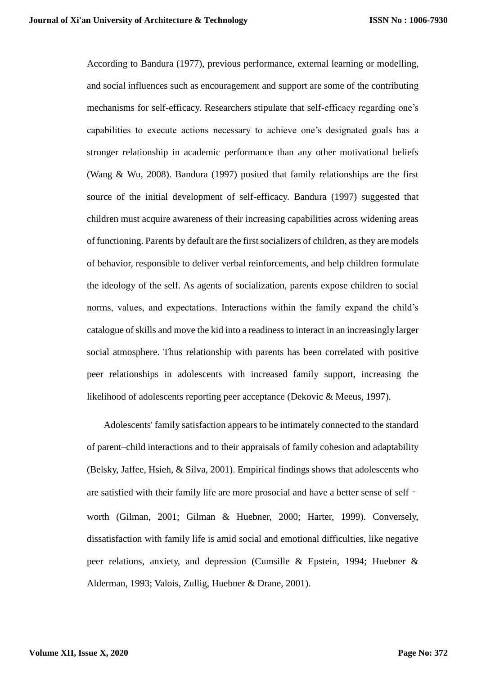According to Bandura (1977), previous performance, external learning or modelling, and social influences such as encouragement and support are some of the contributing mechanisms for self-efficacy. Researchers stipulate that self-efficacy regarding one's capabilities to execute actions necessary to achieve one's designated goals has a stronger relationship in academic performance than any other motivational beliefs (Wang & Wu, 2008). Bandura (1997) posited that family relationships are the first source of the initial development of self-efficacy. Bandura (1997) suggested that children must acquire awareness of their increasing capabilities across widening areas of functioning. Parents by default are the first socializers of children, as they are models of behavior, responsible to deliver verbal reinforcements, and help children formulate the ideology of the self. As agents of socialization, parents expose children to social norms, values, and expectations. Interactions within the family expand the child's catalogue of skills and move the kid into a readiness to interact in an increasingly larger social atmosphere. Thus relationship with parents has been correlated with positive peer relationships in adolescents with increased family support, increasing the likelihood of adolescents reporting peer acceptance (Dekovic & Meeus, 1997).

Adolescents' family satisfaction appears to be intimately connected to the standard of parent–child interactions and to their appraisals of family cohesion and adaptability (Belsky, Jaffee, Hsieh, & Silva, 2001). Empirical findings shows that adolescents who are satisfied with their family life are more prosocial and have a better sense of self worth (Gilman, 2001; Gilman & Huebner, 2000; Harter, 1999). Conversely, dissatisfaction with family life is amid social and emotional difficulties, like negative peer relations, anxiety, and depression (Cumsille & Epstein, 1994; Huebner & Alderman, 1993; Valois, Zullig, Huebner & Drane, 2001).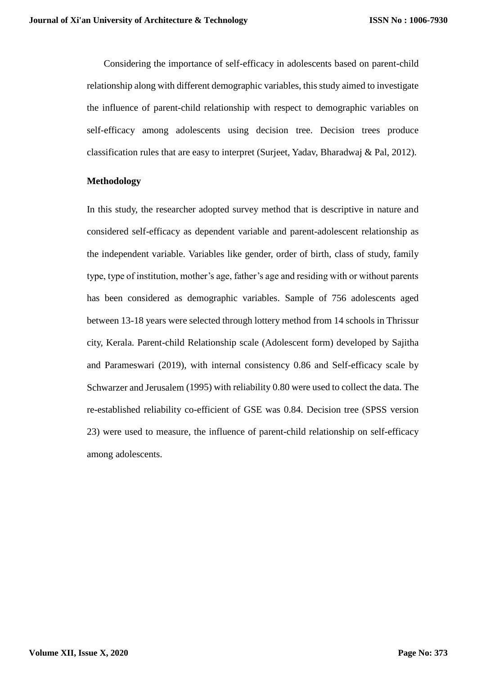Considering the importance of self-efficacy in adolescents based on parent-child relationship along with different demographic variables, this study aimed to investigate the influence of parent-child relationship with respect to demographic variables on self-efficacy among adolescents using decision tree. Decision trees produce classification rules that are easy to interpret (Surjeet, Yadav, Bharadwaj & Pal, 2012).

#### **Methodology**

In this study, the researcher adopted survey method that is descriptive in nature and considered self-efficacy as dependent variable and parent-adolescent relationship as the independent variable. Variables like gender, order of birth, class of study, family type, type of institution, mother's age, father's age and residing with or without parents has been considered as demographic variables. Sample of 756 adolescents aged between 13-18 years were selected through lottery method from 14 schools in Thrissur city, Kerala. Parent-child Relationship scale (Adolescent form) developed by Sajitha and Parameswari (2019), with internal consistency 0.86 and Self-efficacy scale by Schwarzer and Jerusalem (1995) with reliability 0.80 were used to collect the data. The re-established reliability co-efficient of GSE was 0.84. Decision tree (SPSS version 23) were used to measure, the influence of parent-child relationship on self-efficacy among adolescents.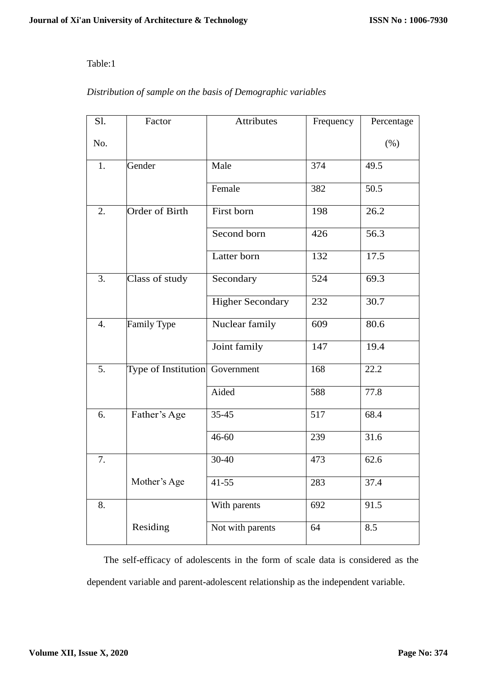# Table:1

# *Distribution of sample on the basis of Demographic variables*

| Sl.              | Factor                         | Attributes              | Frequency | Percentage |  |
|------------------|--------------------------------|-------------------------|-----------|------------|--|
| No.              |                                |                         |           | $(\% )$    |  |
| 1.               | Gender                         | Male                    | 374       | 49.5       |  |
|                  |                                | Female                  | 382       | 50.5       |  |
| 2.               | <b>Order of Birth</b>          | First born              | 198       | 26.2       |  |
|                  |                                | Second born             | 426       | 56.3       |  |
|                  |                                | Latter born             | 132       | 17.5       |  |
| 3.               | Class of study                 | Secondary               | 524       | 69.3       |  |
|                  |                                | <b>Higher Secondary</b> | 232       | 30.7       |  |
| $\overline{4}$ . | Family Type                    | Nuclear family          | 609       | 80.6       |  |
|                  |                                | Joint family            | 147       | 19.4       |  |
| 5.               | Type of Institution Government |                         | 168       | 22.2       |  |
|                  |                                | Aided                   | 588       | 77.8       |  |
| 6.               | Father's Age                   | $35 - 45$               | 517       | 68.4       |  |
|                  |                                | 46-60                   | 239       | 31.6       |  |
| 7.               |                                | 30-40                   | 473       | 62.6       |  |
|                  | Mother's Age                   | $41 - 55$               | 283       | 37.4       |  |
| 8.               |                                | With parents            | 692       | 91.5       |  |
|                  | Residing                       | Not with parents        | 64        | 8.5        |  |

The self-efficacy of adolescents in the form of scale data is considered as the dependent variable and parent-adolescent relationship as the independent variable.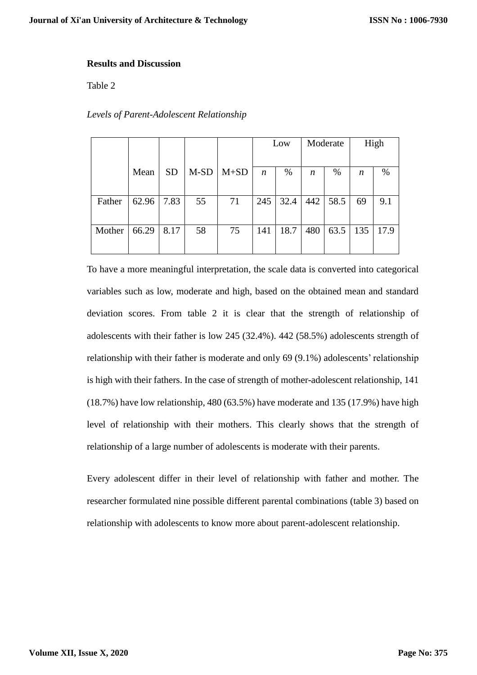# **Results and Discussion**

Table 2

# *Levels of Parent-Adolescent Relationship*

|        |       |           |        |        | Low              |      | Moderate |      | High             |      |
|--------|-------|-----------|--------|--------|------------------|------|----------|------|------------------|------|
|        |       |           |        |        |                  |      |          |      |                  |      |
|        | Mean  | <b>SD</b> | $M-SD$ | $M+SD$ | $\boldsymbol{n}$ | $\%$ | n        | %    | $\boldsymbol{n}$ | %    |
|        |       |           |        |        |                  |      |          |      |                  |      |
| Father | 62.96 | 7.83      | 55     | 71     | 245              | 32.4 | 442      | 58.5 | 69               | 9.1  |
|        |       |           |        |        |                  |      |          |      |                  |      |
| Mother | 66.29 | 8.17      | 58     | 75     | 141              | 18.7 | 480      | 63.5 | 135              | 17.9 |
|        |       |           |        |        |                  |      |          |      |                  |      |

To have a more meaningful interpretation, the scale data is converted into categorical variables such as low, moderate and high, based on the obtained mean and standard deviation scores. From table 2 it is clear that the strength of relationship of adolescents with their father is low 245 (32.4%). 442 (58.5%) adolescents strength of relationship with their father is moderate and only 69 (9.1%) adolescents' relationship is high with their fathers. In the case of strength of mother-adolescent relationship, 141 (18.7%) have low relationship, 480 (63.5%) have moderate and 135 (17.9%) have high level of relationship with their mothers. This clearly shows that the strength of relationship of a large number of adolescents is moderate with their parents.

Every adolescent differ in their level of relationship with father and mother. The researcher formulated nine possible different parental combinations (table 3) based on relationship with adolescents to know more about parent-adolescent relationship.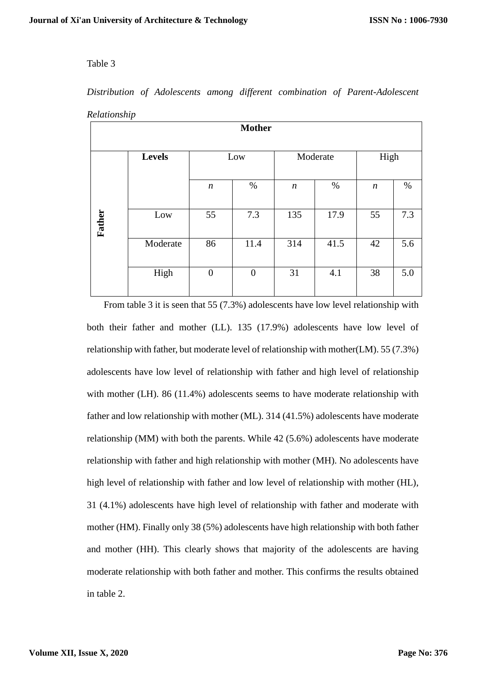# Table 3

| $\overline{\phantom{a}}$<br><b>Mother</b> |               |                  |                  |                  |      |                  |      |  |
|-------------------------------------------|---------------|------------------|------------------|------------------|------|------------------|------|--|
|                                           | <b>Levels</b> | Low              |                  | Moderate         |      | High             |      |  |
|                                           |               | $\boldsymbol{n}$ | $\%$             | $\boldsymbol{n}$ | $\%$ | $\boldsymbol{n}$ | $\%$ |  |
| Father                                    | Low           | 55               | 7.3              | 135              | 17.9 | 55               | 7.3  |  |
|                                           | Moderate      | 86               | 11.4             | 314              | 41.5 | 42               | 5.6  |  |
|                                           | High          | $\boldsymbol{0}$ | $\boldsymbol{0}$ | 31               | 4.1  | 38               | 5.0  |  |

*Distribution of Adolescents among different combination of Parent-Adolescent Relationship*

From table 3 it is seen that 55 (7.3%) adolescents have low level relationship with both their father and mother (LL). 135 (17.9%) adolescents have low level of relationship with father, but moderate level of relationship with mother(LM). 55 (7.3%) adolescents have low level of relationship with father and high level of relationship with mother (LH). 86 (11.4%) adolescents seems to have moderate relationship with father and low relationship with mother (ML). 314 (41.5%) adolescents have moderate relationship (MM) with both the parents. While 42 (5.6%) adolescents have moderate relationship with father and high relationship with mother (MH). No adolescents have high level of relationship with father and low level of relationship with mother (HL), 31 (4.1%) adolescents have high level of relationship with father and moderate with mother (HM). Finally only 38 (5%) adolescents have high relationship with both father and mother (HH). This clearly shows that majority of the adolescents are having moderate relationship with both father and mother. This confirms the results obtained in table 2.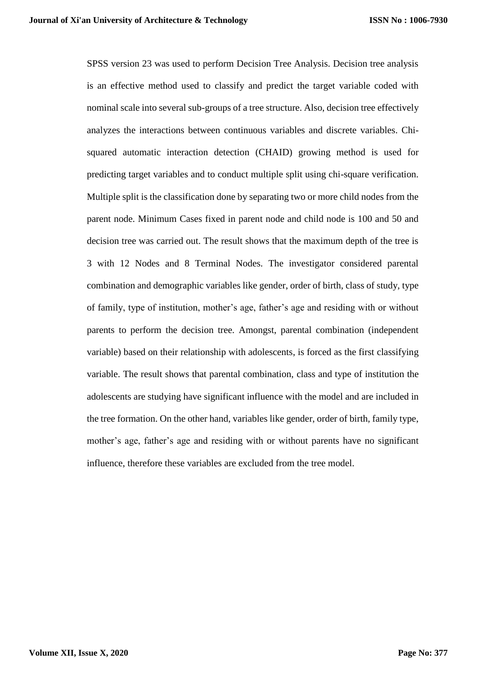SPSS version 23 was used to perform Decision Tree Analysis. Decision tree analysis is an effective method used to classify and predict the target variable coded with nominal scale into several sub-groups of a tree structure. Also, decision tree effectively analyzes the interactions between continuous variables and discrete variables. Chisquared automatic interaction detection (CHAID) growing method is used for predicting target variables and to conduct multiple split using chi-square verification. Multiple split is the classification done by separating two or more child nodes from the parent node. Minimum Cases fixed in parent node and child node is 100 and 50 and decision tree was carried out. The result shows that the maximum depth of the tree is 3 with 12 Nodes and 8 Terminal Nodes. The investigator considered parental combination and demographic variables like gender, order of birth, class of study, type of family, type of institution, mother's age, father's age and residing with or without parents to perform the decision tree. Amongst, parental combination (independent variable) based on their relationship with adolescents, is forced as the first classifying variable. The result shows that parental combination, class and type of institution the adolescents are studying have significant influence with the model and are included in the tree formation. On the other hand, variables like gender, order of birth, family type, mother's age, father's age and residing with or without parents have no significant influence, therefore these variables are excluded from the tree model.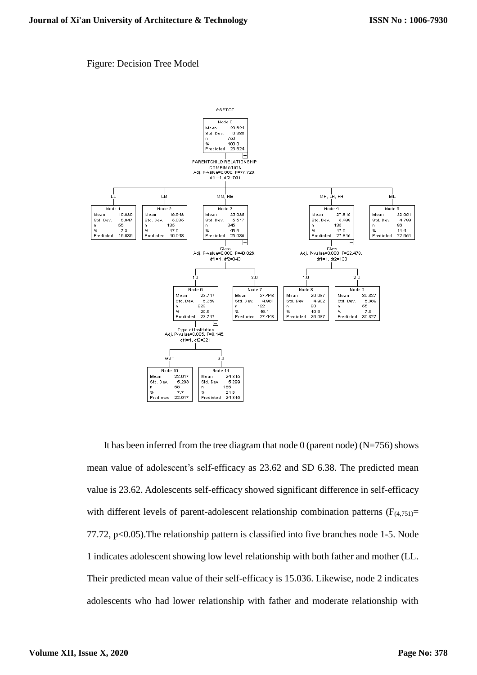### Figure: Decision Tree Model



It has been inferred from the tree diagram that node  $0$  (parent node) (N=756) shows mean value of adolescent's self-efficacy as 23.62 and SD 6.38. The predicted mean value is 23.62. Adolescents self-efficacy showed significant difference in self-efficacy with different levels of parent-adolescent relationship combination patterns  $(F_{(4,751)}=$ 77.72, p<0.05).The relationship pattern is classified into five branches node 1-5. Node 1 indicates adolescent showing low level relationship with both father and mother (LL. Their predicted mean value of their self-efficacy is 15.036. Likewise, node 2 indicates adolescents who had lower relationship with father and moderate relationship with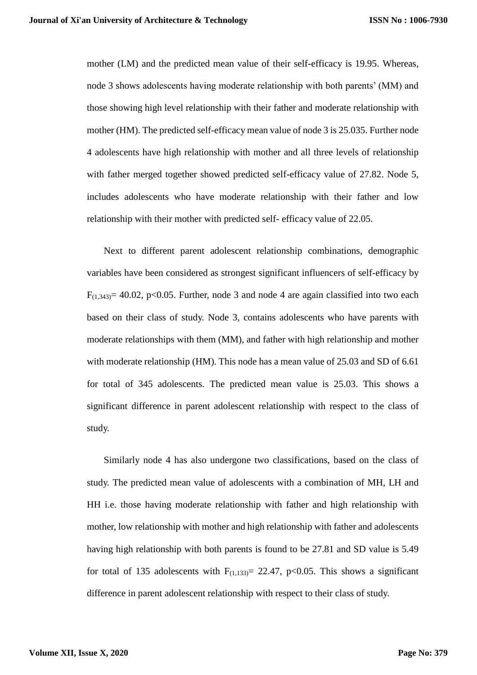mother (LM) and the predicted mean value of their self-efficacy is 19.95. Whereas, node 3 shows adolescents having moderate relationship with both parents' (MM) and those showing high level relationship with their father and moderate relationship with mother (HM). The predicted self-efficacy mean value of node 3 is 25.035. Further node 4 adolescents have high relationship with mother and all three levels of relationship with father merged together showed predicted self-efficacy value of 27.82. Node 5, includes adolescents who have moderate relationship with their father and low relationship with their mother with predicted self- efficacy value of 22.05.

Next to different parent adolescent relationship combinations, demographic variables have been considered as strongest significant influencers of self-efficacy by  $F_{(1,343)}$  = 40.02, p<0.05. Further, node 3 and node 4 are again classified into two each based on their class of study. Node 3, contains adolescents who have parents with moderate relationships with them (MM), and father with high relationship and mother with moderate relationship (HM). This node has a mean value of 25.03 and SD of 6.61 for total of 345 adolescents. The predicted mean value is 25.03. This shows a significant difference in parent adolescent relationship with respect to the class of study.

Similarly node 4 has also undergone two classifications, based on the class of study. The predicted mean value of adolescents with a combination of MH, LH and HH i.e. those having moderate relationship with father and high relationship with mother, low relationship with mother and high relationship with father and adolescents having high relationship with both parents is found to be 27.81 and SD value is 5.49 for total of 135 adolescents with  $F_{(1,133)}= 22.47$ , p<0.05. This shows a significant difference in parent adolescent relationship with respect to their class of study.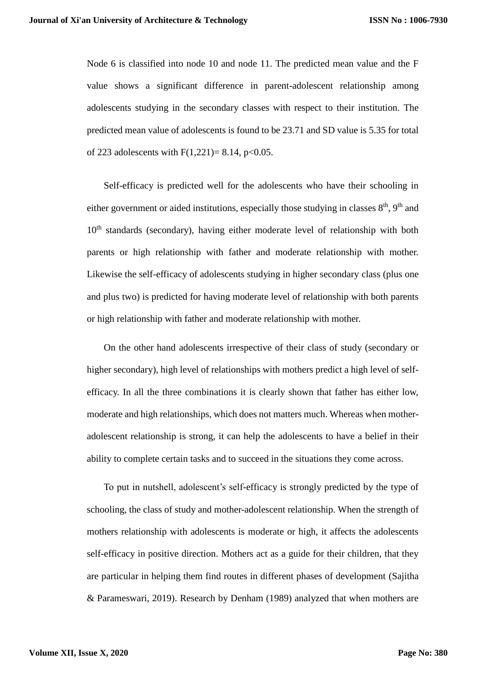Node 6 is classified into node 10 and node 11. The predicted mean value and the F value shows a significant difference in parent-adolescent relationship among adolescents studying in the secondary classes with respect to their institution. The predicted mean value of adolescents is found to be 23.71 and SD value is 5.35 for total of 223 adolescents with  $F(1,221) = 8.14$ , p<0.05.

Self-efficacy is predicted well for the adolescents who have their schooling in either government or aided institutions, especially those studying in classes  $8<sup>th</sup>$ ,  $9<sup>th</sup>$  and  $10<sup>th</sup>$  standards (secondary), having either moderate level of relationship with both parents or high relationship with father and moderate relationship with mother. Likewise the self-efficacy of adolescents studying in higher secondary class (plus one and plus two) is predicted for having moderate level of relationship with both parents or high relationship with father and moderate relationship with mother.

On the other hand adolescents irrespective of their class of study (secondary or higher secondary), high level of relationships with mothers predict a high level of selfefficacy. In all the three combinations it is clearly shown that father has either low, moderate and high relationships, which does not matters much. Whereas when motheradolescent relationship is strong, it can help the adolescents to have a belief in their ability to complete certain tasks and to succeed in the situations they come across.

To put in nutshell, adolescent's self-efficacy is strongly predicted by the type of schooling, the class of study and mother-adolescent relationship. When the strength of mothers relationship with adolescents is moderate or high, it affects the adolescents self-efficacy in positive direction. Mothers act as a guide for their children, that they are particular in helping them find routes in different phases of development (Sajitha & Parameswari, 2019). Research by Denham (1989) analyzed that when mothers are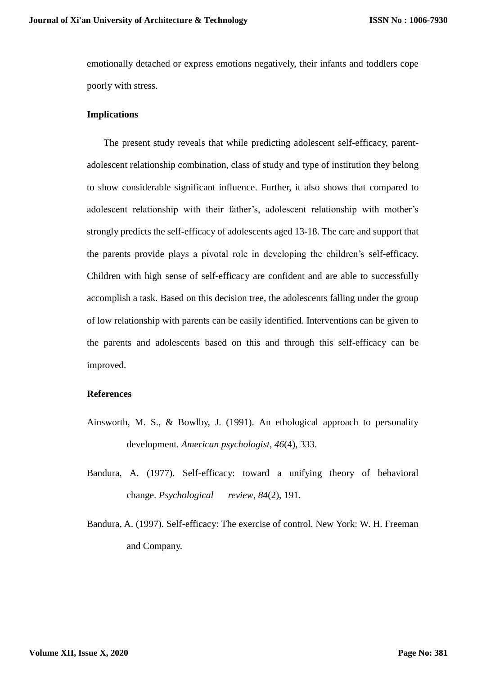emotionally detached or express emotions negatively, their infants and toddlers cope poorly with stress.

### **Implications**

The present study reveals that while predicting adolescent self-efficacy, parentadolescent relationship combination, class of study and type of institution they belong to show considerable significant influence. Further, it also shows that compared to adolescent relationship with their father's, adolescent relationship with mother's strongly predicts the self-efficacy of adolescents aged 13-18. The care and support that the parents provide plays a pivotal role in developing the children's self-efficacy. Children with high sense of self-efficacy are confident and are able to successfully accomplish a task. Based on this decision tree, the adolescents falling under the group of low relationship with parents can be easily identified. Interventions can be given to the parents and adolescents based on this and through this self-efficacy can be improved.

### **References**

- Ainsworth, M. S., & Bowlby, J. (1991). An ethological approach to personality development. *American psychologist*, *46*(4), 333.
- Bandura, A. (1977). Self-efficacy: toward a unifying theory of behavioral change. *Psychological review*, *84*(2), 191.
- Bandura, A. (1997). Self-efficacy: The exercise of control. New York: W. H. Freeman and Company.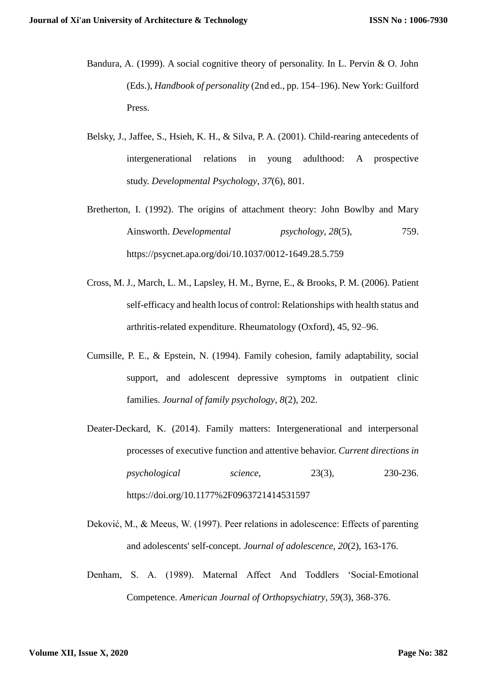- Bandura, A. (1999). A social cognitive theory of personality. In L. Pervin & O. John (Eds.), *Handbook of personality* (2nd ed., pp. 154–196). New York: Guilford Press.
- Belsky, J., Jaffee, S., Hsieh, K. H., & Silva, P. A. (2001). Child-rearing antecedents of intergenerational relations in young adulthood: A prospective study. *Developmental Psychology*, *37*(6), 801.
- Bretherton, I. (1992). The origins of attachment theory: John Bowlby and Mary Ainsworth. *Developmental psychology*, *28*(5), 759. <https://psycnet.apa.org/doi/10.1037/0012-1649.28.5.759>
- Cross, M. J., March, L. M., Lapsley, H. M., Byrne, E., & Brooks, P. M. (2006). Patient self-efficacy and health locus of control: Relationships with health status and arthritis-related expenditure. Rheumatology (Oxford), 45, 92–96.
- Cumsille, P. E., & Epstein, N. (1994). Family cohesion, family adaptability, social support, and adolescent depressive symptoms in outpatient clinic families. *Journal of family psychology*, *8*(2), 202.
- Deater-Deckard, K. (2014). Family matters: Intergenerational and interpersonal processes of executive function and attentive behavior. *Current directions in psychological science*, 23(3), 230-236. <https://doi.org/10.1177%2F0963721414531597>
- Deković, M., & Meeus, W. (1997). Peer relations in adolescence: Effects of parenting and adolescents' self-concept. *Journal of adolescence*, *20*(2), 163-176.
- Denham, S. A. (1989). Maternal Affect And Toddlers 'Social-Emotional Competence. *American Journal of Orthopsychiatry*, *59*(3), 368-376.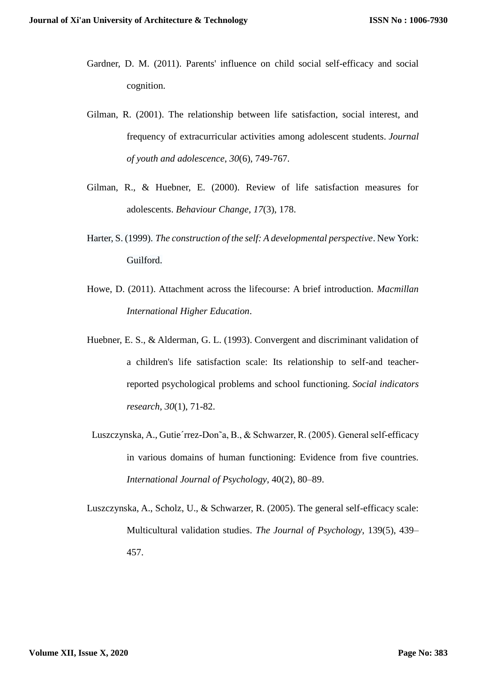- Gardner, D. M. (2011). Parents' influence on child social self-efficacy and social cognition.
- Gilman, R. (2001). The relationship between life satisfaction, social interest, and frequency of extracurricular activities among adolescent students. *Journal of youth and adolescence*, *30*(6), 749-767.
- Gilman, R., & Huebner, E. (2000). Review of life satisfaction measures for adolescents. *Behaviour Change*, *17*(3), 178.
- Harter, S. (1999). *The construction of the self: A developmental perspective*. New York: Guilford.
- Howe, D. (2011). Attachment across the lifecourse: A brief introduction. *Macmillan International Higher Education*.
- Huebner, E. S., & Alderman, G. L. (1993). Convergent and discriminant validation of a children's life satisfaction scale: Its relationship to self-and teacherreported psychological problems and school functioning. *Social indicators research*, *30*(1), 71-82.
- Luszczynska, A., Gutie´rrez-Don˜a, B., & Schwarzer, R. (2005). General self-efficacy in various domains of human functioning: Evidence from five countries. *International Journal of Psychology*, 40(2), 80–89.
- Luszczynska, A., Scholz, U., & Schwarzer, R. (2005). The general self-efficacy scale: Multicultural validation studies. *The Journal of Psychology*, 139(5), 439– 457.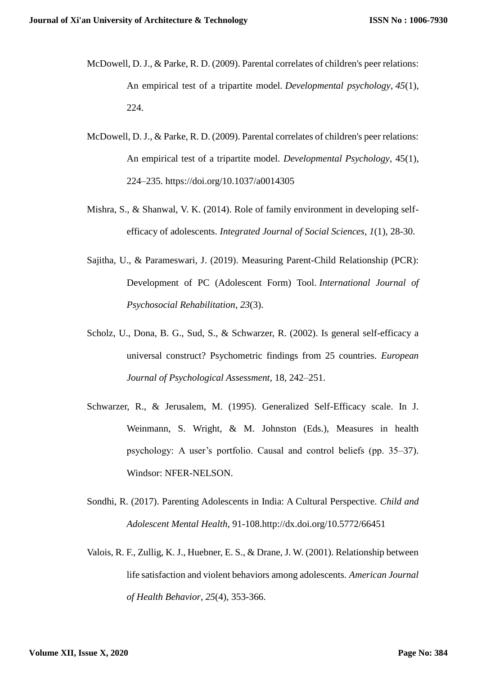- McDowell, D. J., & Parke, R. D. (2009). Parental correlates of children's peer relations: An empirical test of a tripartite model. *Developmental psychology*, *45*(1), 224.
- McDowell, D. J., & Parke, R. D. (2009). Parental correlates of children's peer relations: An empirical test of a tripartite model. *Developmental Psychology*, 45(1), 224–235.<https://doi.org/10.1037/a0014305>
- Mishra, S., & Shanwal, V. K. (2014). Role of family environment in developing selfefficacy of adolescents. *Integrated Journal of Social Sciences*, *1*(1), 28-30.
- Sajitha, U., & Parameswari, J. (2019). Measuring Parent-Child Relationship (PCR): Development of PC (Adolescent Form) Tool. *International Journal of Psychosocial Rehabilitation*, *23*(3).
- Scholz, U., Dona, B. G., Sud, S., & Schwarzer, R. (2002). Is general self-efficacy a universal construct? Psychometric findings from 25 countries. *European Journal of Psychological Assessment*, 18, 242–251.
- Schwarzer, R., & Jerusalem, M. (1995). Generalized Self-Efficacy scale. In J. Weinmann, S. Wright, & M. Johnston (Eds.), Measures in health psychology: A user's portfolio. Causal and control beliefs (pp. 35–37). Windsor: NFER-NELSON.
- Sondhi, R. (2017). Parenting Adolescents in India: A Cultural Perspective. *Child and Adolescent Mental Health*, 91-108.http://dx.doi.org/10.5772/66451
- Valois, R. F., Zullig, K. J., Huebner, E. S., & Drane, J. W. (2001). Relationship between life satisfaction and violent behaviors among adolescents. *American Journal of Health Behavior*, *25*(4), 353-366.